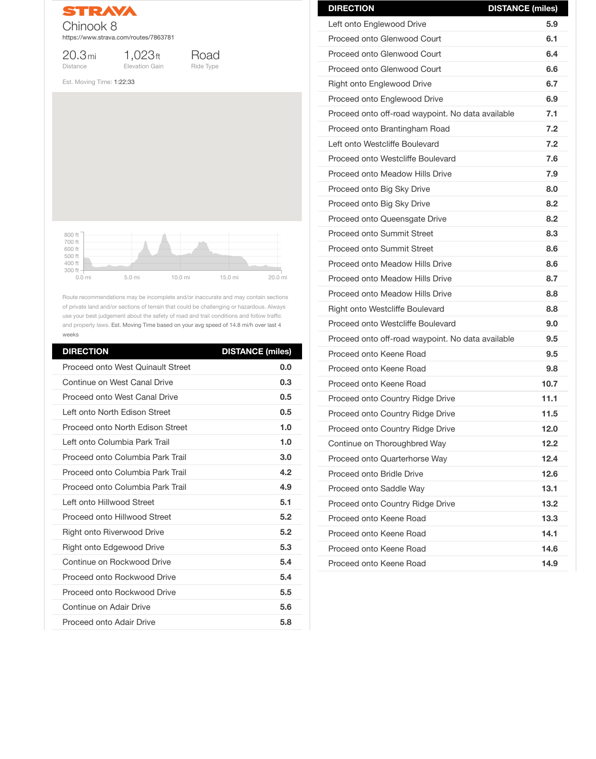

20.3mi Distance

1,023ft Elevation Gain



Est. Moving Time: 1:22:33

Route recommendations may be incomplete and/or inaccurate and may contain sections of private land and/or sections of terrain that could be challenging or hazardous. Always use your best judgement about the safety of road and trail conditions and follow traffic and property laws. Est. Moving Time based on your avg speed of 14.8 mi/h over last 4 weeks

| <b>DIRECTION</b>                         | <b>DISTANCE (miles)</b> |
|------------------------------------------|-------------------------|
| <b>Proceed onto West Quinault Street</b> | 0.0                     |
| Continue on West Canal Drive             | 0.3                     |
| <b>Proceed onto West Canal Drive</b>     | 0.5                     |
| Left onto North Edison Street            | 0.5                     |
| <b>Proceed onto North Edison Street</b>  | 1.0                     |
| Left onto Columbia Park Trail            | 1.0                     |
| Proceed onto Columbia Park Trail         | 3.0                     |
| Proceed onto Columbia Park Trail         | 4.2                     |
| Proceed onto Columbia Park Trail         | 4.9                     |
| Left onto Hillwood Street                | 5.1                     |
| <b>Proceed onto Hillwood Street</b>      | 5.2                     |
| <b>Right onto Riverwood Drive</b>        | 5.2                     |
| <b>Right onto Edgewood Drive</b>         | 5.3                     |
| Continue on Rockwood Drive               | 5.4                     |
| <b>Proceed onto Rockwood Drive</b>       | 5.4                     |
| <b>Proceed onto Rockwood Drive</b>       | 5.5                     |
| Continue on Adair Drive                  | 5.6                     |
| <b>Proceed onto Adair Drive</b>          | 5.8                     |



| <b>DIRECTION</b>                                  | <b>DISTANCE (miles)</b> |
|---------------------------------------------------|-------------------------|
| Left onto Englewood Drive                         | 5.9                     |
| <b>Proceed onto Glenwood Court</b>                | 6.1                     |
| Proceed onto Glenwood Court                       | 6.4                     |
| <b>Proceed onto Glenwood Court</b>                | 6.6                     |
| <b>Right onto Englewood Drive</b>                 | 6.7                     |
| <b>Proceed onto Englewood Drive</b>               | 6.9                     |
| Proceed onto off-road waypoint. No data available | 7.1                     |
| Proceed onto Brantingham Road                     | 7.2                     |
| Left onto Westcliffe Boulevard                    | 7.2                     |
| <b>Proceed onto Westcliffe Boulevard</b>          | 7.6                     |
| <b>Proceed onto Meadow Hills Drive</b>            | 7.9                     |
| Proceed onto Big Sky Drive                        | 8.0                     |
| Proceed onto Big Sky Drive                        | 8.2                     |
| <b>Proceed onto Queensgate Drive</b>              | 8.2                     |
| <b>Proceed onto Summit Street</b>                 | 8.3                     |
| <b>Proceed onto Summit Street</b>                 | 8.6                     |
| <b>Proceed onto Meadow Hills Drive</b>            | 8.6                     |
| <b>Proceed onto Meadow Hills Drive</b>            | 8.7                     |
| <b>Proceed onto Meadow Hills Drive</b>            | 8.8                     |
| <b>Right onto Westcliffe Boulevard</b>            | 8.8                     |
| Proceed onto Westcliffe Boulevard                 | 9.0                     |
| Proceed onto off-road waypoint. No data available | 9.5                     |
| Proceed onto Keene Road                           | 9.5                     |
| Proceed onto Keene Road                           | 9.8                     |
| Proceed onto Keene Road                           | 10.7                    |
| <b>Proceed onto Country Ridge Drive</b>           | 11.1                    |
| <b>Proceed onto Country Ridge Drive</b>           | 11.5                    |
| <b>Proceed onto Country Ridge Drive</b>           | 12.0                    |
| Continue on Thoroughbred Way                      | 12.2                    |
| Proceed onto Quarterhorse Way                     | 12.4                    |

| <b>Proceed onto Bridle Drive</b>        | 12.6 |
|-----------------------------------------|------|
| <b>Proceed onto Saddle Way</b>          | 13.1 |
| <b>Proceed onto Country Ridge Drive</b> | 13.2 |
| Proceed onto Keene Road                 | 13.3 |
| Proceed onto Keene Road                 | 14.1 |
| Proceed onto Keene Road                 | 14.6 |
| Proceed onto Keene Road                 | 14.9 |